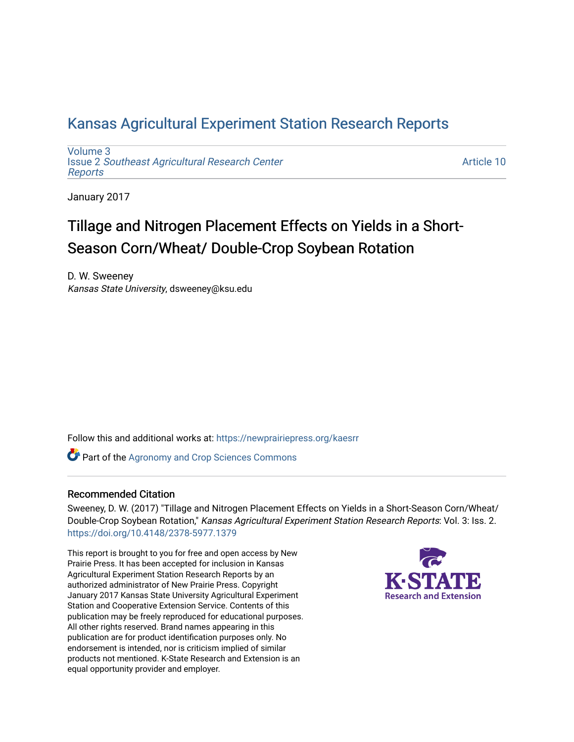# [Kansas Agricultural Experiment Station Research Reports](https://newprairiepress.org/kaesrr)

[Volume 3](https://newprairiepress.org/kaesrr/vol3) Issue 2 [Southeast Agricultural Research Center](https://newprairiepress.org/kaesrr/vol3/iss2) [Reports](https://newprairiepress.org/kaesrr/vol3/iss2)

[Article 10](https://newprairiepress.org/kaesrr/vol3/iss2/10) 

January 2017

# Tillage and Nitrogen Placement Effects on Yields in a Short-Season Corn/Wheat/ Double-Crop Soybean Rotation

D. W. Sweeney Kansas State University, dsweeney@ksu.edu

Follow this and additional works at: [https://newprairiepress.org/kaesrr](https://newprairiepress.org/kaesrr?utm_source=newprairiepress.org%2Fkaesrr%2Fvol3%2Fiss2%2F10&utm_medium=PDF&utm_campaign=PDFCoverPages) 

**Part of the Agronomy and Crop Sciences Commons** 

#### Recommended Citation

Sweeney, D. W. (2017) "Tillage and Nitrogen Placement Effects on Yields in a Short-Season Corn/Wheat/ Double-Crop Soybean Rotation," Kansas Agricultural Experiment Station Research Reports: Vol. 3: Iss. 2. <https://doi.org/10.4148/2378-5977.1379>

This report is brought to you for free and open access by New Prairie Press. It has been accepted for inclusion in Kansas Agricultural Experiment Station Research Reports by an authorized administrator of New Prairie Press. Copyright January 2017 Kansas State University Agricultural Experiment Station and Cooperative Extension Service. Contents of this publication may be freely reproduced for educational purposes. All other rights reserved. Brand names appearing in this publication are for product identification purposes only. No endorsement is intended, nor is criticism implied of similar products not mentioned. K-State Research and Extension is an equal opportunity provider and employer.

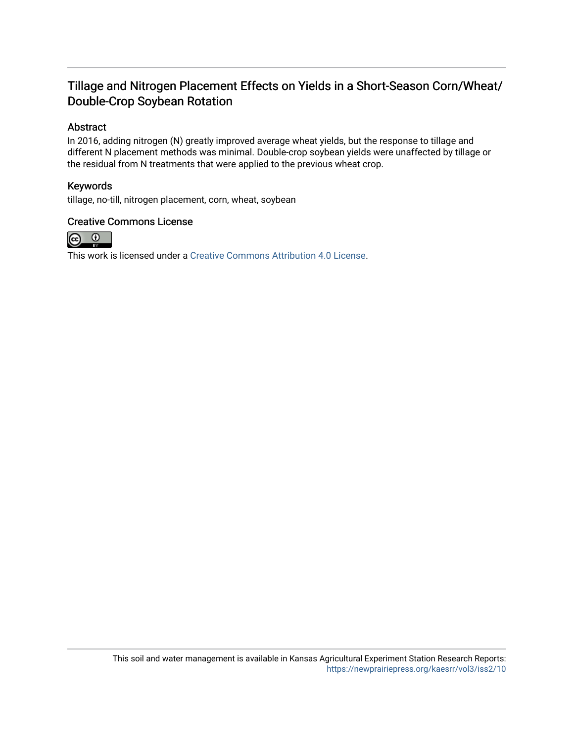### Tillage and Nitrogen Placement Effects on Yields in a Short-Season Corn/Wheat/ Double-Crop Soybean Rotation

### Abstract

In 2016, adding nitrogen (N) greatly improved average wheat yields, but the response to tillage and different N placement methods was minimal. Double-crop soybean yields were unaffected by tillage or the residual from N treatments that were applied to the previous wheat crop.

### Keywords

tillage, no-till, nitrogen placement, corn, wheat, soybean

### Creative Commons License



This work is licensed under a [Creative Commons Attribution 4.0 License](https://creativecommons.org/licenses/by/4.0/).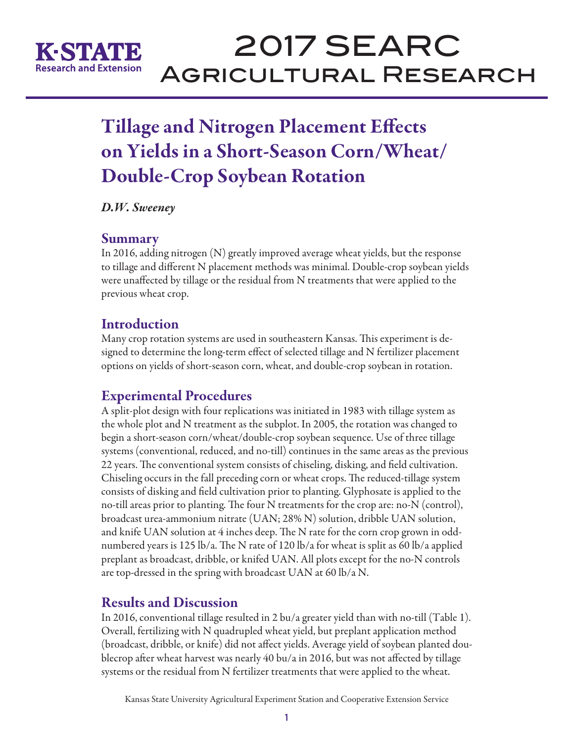

# 2017 SEARC Agricultural Research

# Tillage and Nitrogen Placement Effects on Yields in a Short-Season Corn/Wheat/ Double-Crop Soybean Rotation

*D.W. Sweeney*

### Summary

In 2016, adding nitrogen (N) greatly improved average wheat yields, but the response to tillage and different N placement methods was minimal. Double-crop soybean yields were unaffected by tillage or the residual from N treatments that were applied to the previous wheat crop.

# **Introduction**

Many crop rotation systems are used in southeastern Kansas. This experiment is designed to determine the long-term effect of selected tillage and N fertilizer placement options on yields of short-season corn, wheat, and double-crop soybean in rotation.

# Experimental Procedures

A split-plot design with four replications was initiated in 1983 with tillage system as the whole plot and N treatment as the subplot. In 2005, the rotation was changed to begin a short-season corn/wheat/double-crop soybean sequence. Use of three tillage systems (conventional, reduced, and no-till) continues in the same areas as the previous 22 years. The conventional system consists of chiseling, disking, and field cultivation. Chiseling occurs in the fall preceding corn or wheat crops. The reduced-tillage system consists of disking and field cultivation prior to planting. Glyphosate is applied to the no-till areas prior to planting. The four N treatments for the crop are: no-N (control), broadcast urea-ammonium nitrate (UAN; 28% N) solution, dribble UAN solution, and knife UAN solution at 4 inches deep. The N rate for the corn crop grown in oddnumbered years is 125 lb/a. The N rate of 120 lb/a for wheat is split as 60 lb/a applied preplant as broadcast, dribble, or knifed UAN. All plots except for the no-N controls are top-dressed in the spring with broadcast UAN at 60 lb/a N.

# Results and Discussion

In 2016, conventional tillage resulted in 2 bu/a greater yield than with no-till (Table 1). Overall, fertilizing with N quadrupled wheat yield, but preplant application method (broadcast, dribble, or knife) did not affect yields. Average yield of soybean planted doublecrop after wheat harvest was nearly 40 bu/a in 2016, but was not affected by tillage systems or the residual from N fertilizer treatments that were applied to the wheat.